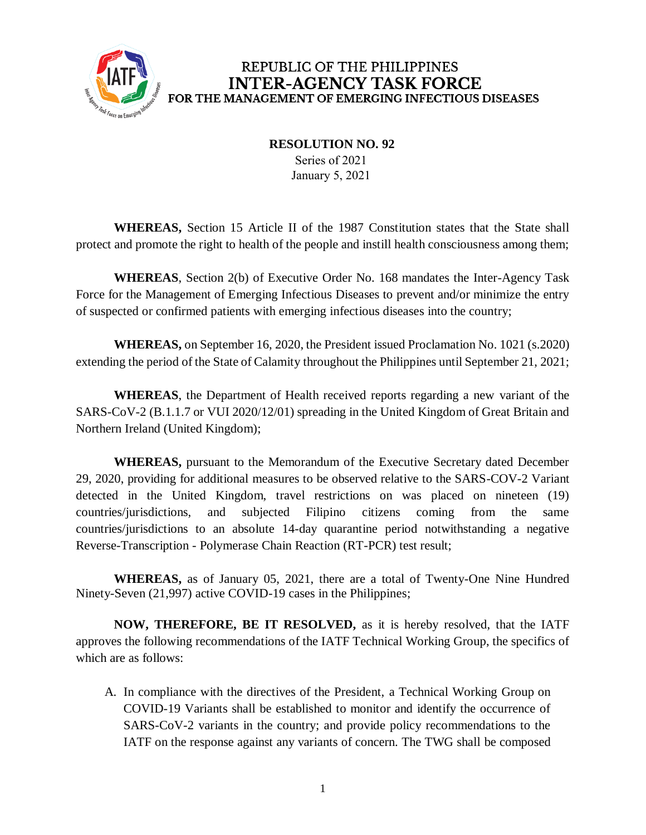

**RESOLUTION NO. 92**

Series of 2021 January 5, 2021

**WHEREAS,** Section 15 Article II of the 1987 Constitution states that the State shall protect and promote the right to health of the people and instill health consciousness among them;

**WHEREAS**, Section 2(b) of Executive Order No. 168 mandates the Inter-Agency Task Force for the Management of Emerging Infectious Diseases to prevent and/or minimize the entry of suspected or confirmed patients with emerging infectious diseases into the country;

**WHEREAS,** on September 16, 2020, the President issued Proclamation No. 1021 (s.2020) extending the period of the State of Calamity throughout the Philippines until September 21, 2021;

**WHEREAS**, the Department of Health received reports regarding a new variant of the SARS-CoV-2 (B.1.1.7 or VUI 2020/12/01) spreading in the United Kingdom of Great Britain and Northern Ireland (United Kingdom);

**WHEREAS,** pursuant to the Memorandum of the Executive Secretary dated December 29, 2020, providing for additional measures to be observed relative to the SARS-COV-2 Variant detected in the United Kingdom, travel restrictions on was placed on nineteen (19) countries/jurisdictions, and subjected Filipino citizens coming from the same countries/jurisdictions to an absolute 14-day quarantine period notwithstanding a negative Reverse-Transcription - Polymerase Chain Reaction (RT-PCR) test result;

**WHEREAS,** as of January 05, 2021, there are a total of Twenty-One Nine Hundred Ninety-Seven (21,997) active COVID-19 cases in the Philippines;

**NOW, THEREFORE, BE IT RESOLVED,** as it is hereby resolved, that the IATF approves the following recommendations of the IATF Technical Working Group, the specifics of which are as follows:

A. In compliance with the directives of the President, a Technical Working Group on COVID-19 Variants shall be established to monitor and identify the occurrence of SARS-CoV-2 variants in the country; and provide policy recommendations to the IATF on the response against any variants of concern. The TWG shall be composed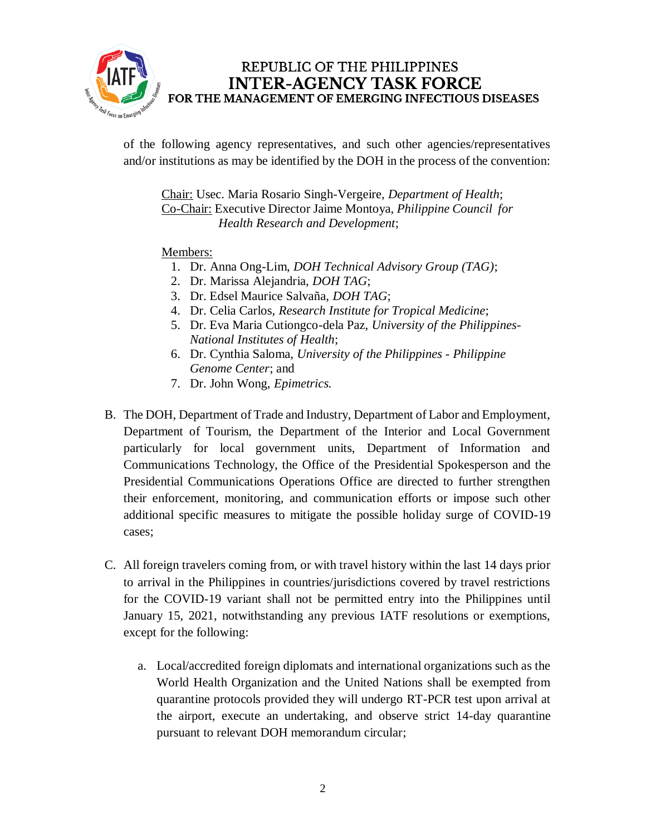

of the following agency representatives, and such other agencies/representatives and/or institutions as may be identified by the DOH in the process of the convention:

Chair: Usec. Maria Rosario Singh-Vergeire, *Department of Health*; Co-Chair: Executive Director Jaime Montoya, *Philippine Council for Health Research and Development*;

#### Members:

- 1. Dr. Anna Ong-Lim, *DOH Technical Advisory Group (TAG)*;
- 2. Dr. Marissa Alejandria, *DOH TAG*;
- 3. Dr. Edsel Maurice Salvaña, *DOH TAG*;
- 4. Dr. Celia Carlos, *Research Institute for Tropical Medicine*;
- 5. Dr. Eva Maria Cutiongco-dela Paz, *University of the Philippines-National Institutes of Health*;
- 6. Dr. Cynthia Saloma, *University of the Philippines - Philippine Genome Center*; and
- 7. Dr. John Wong, *Epimetrics.*
- B. The DOH, Department of Trade and Industry, Department of Labor and Employment, Department of Tourism, the Department of the Interior and Local Government particularly for local government units, Department of Information and Communications Technology, the Office of the Presidential Spokesperson and the Presidential Communications Operations Office are directed to further strengthen their enforcement, monitoring, and communication efforts or impose such other additional specific measures to mitigate the possible holiday surge of COVID-19 cases;
- C. All foreign travelers coming from, or with travel history within the last 14 days prior to arrival in the Philippines in countries/jurisdictions covered by travel restrictions for the COVID-19 variant shall not be permitted entry into the Philippines until January 15, 2021, notwithstanding any previous IATF resolutions or exemptions, except for the following:
	- a. Local/accredited foreign diplomats and international organizations such as the World Health Organization and the United Nations shall be exempted from quarantine protocols provided they will undergo RT-PCR test upon arrival at the airport, execute an undertaking, and observe strict 14-day quarantine pursuant to relevant DOH memorandum circular;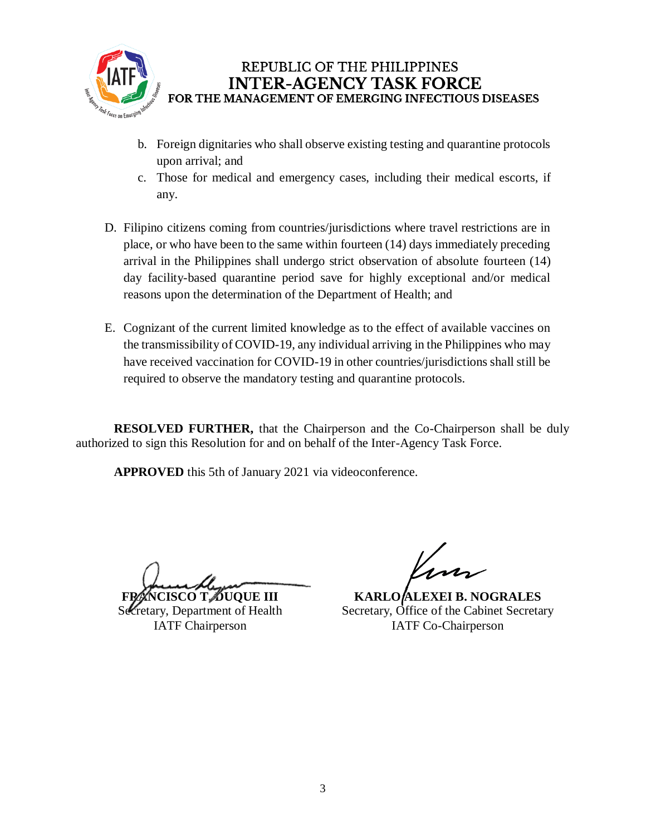

- b. Foreign dignitaries who shall observe existing testing and quarantine protocols upon arrival; and
- c. Those for medical and emergency cases, including their medical escorts, if any.
- D. Filipino citizens coming from countries/jurisdictions where travel restrictions are in place, or who have been to the same within fourteen (14) days immediately preceding arrival in the Philippines shall undergo strict observation of absolute fourteen (14) day facility-based quarantine period save for highly exceptional and/or medical reasons upon the determination of the Department of Health; and
- E. Cognizant of the current limited knowledge as to the effect of available vaccines on the transmissibility of COVID-19, any individual arriving in the Philippines who may have received vaccination for COVID-19 in other countries/jurisdictions shall still be required to observe the mandatory testing and quarantine protocols.

**RESOLVED FURTHER,** that the Chairperson and the Co-Chairperson shall be duly authorized to sign this Resolution for and on behalf of the Inter-Agency Task Force.

**APPROVED** this 5th of January 2021 via videoconference.

**FRANCISCO T. DUQUE III**

Secretary, Department of Health IATF Chairperson

**KARLO ALEXEI B. NOGRALES** Secretary, Office of the Cabinet Secretary IATF Co-Chairperson